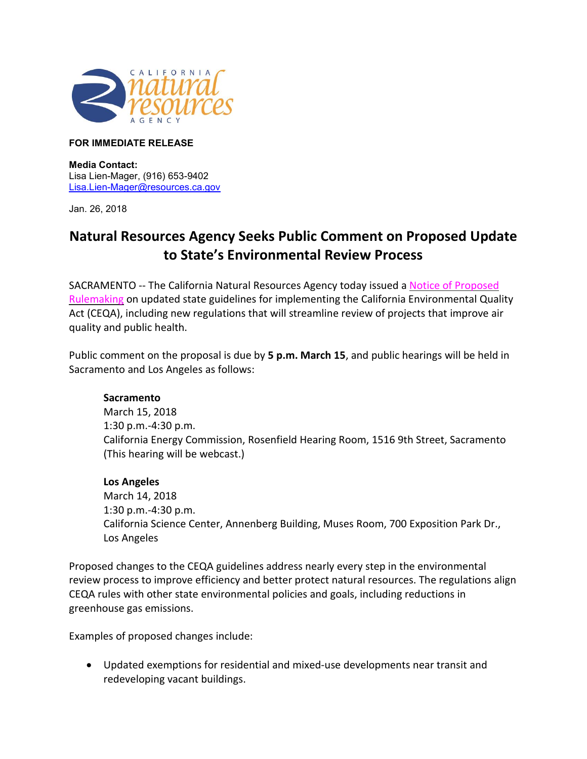

## **FOR IMMEDIATE RELEASE**

**Media Contact:**  Lisa Lien-Mager, (916) 653-9402 [Lisa.Lien-Mager@resources.ca.gov](mailto:Lisa.Lien-Mager@resources.ca.gov)

Jan. 26, 2018

## **Natural Resources Agency Seeks Public Comment on Proposed Update to State's Environmental Review Process**

SACRAMENTO -- The California Natural Resources Agency today issued a [Notice of Proposed](http://resources.ca.gov/ceqa/docs/update2018/notice-of-proposed-rulemaking.pdf)  [Rulemaking](http://resources.ca.gov/ceqa/docs/update2018/notice-of-proposed-rulemaking.pdf) on updated state guidelines for implementing the California Environmental Quality Act (CEQA), including new regulations that will streamline review of projects that improve air quality and public health.

Public comment on the proposal is due by **5 p.m. March 15**, and public hearings will be held in Sacramento and Los Angeles as follows:

## **Sacramento**

March 15, 2018 1:30 p.m.-4:30 p.m. California Energy Commission, Rosenfield Hearing Room, 1516 9th Street, Sacramento (This hearing will be webcast.)

## **Los Angeles**

March 14, 2018 1:30 p.m.-4:30 p.m. California Science Center, Annenberg Building, Muses Room, 700 Exposition Park Dr., Los Angeles

Proposed changes to the CEQA guidelines address nearly every step in the environmental review process to improve efficiency and better protect natural resources. The regulations align CEQA rules with other state environmental policies and goals, including reductions in greenhouse gas emissions.

Examples of proposed changes include:

• Updated exemptions for residential and mixed-use developments near transit and redeveloping vacant buildings.